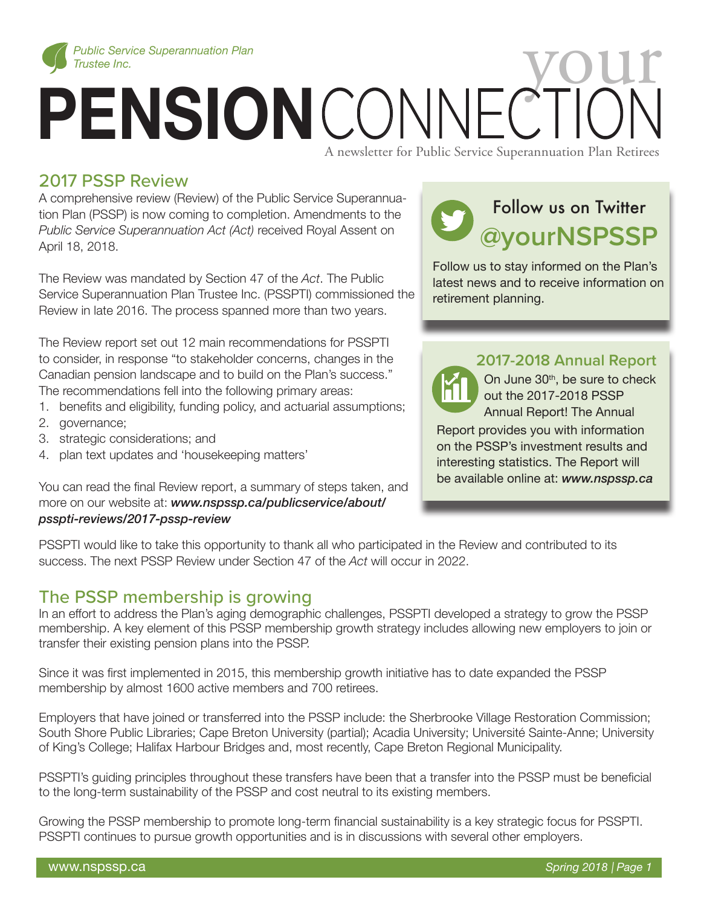

# *Public Service Superannuation Plan*<br> **PENSION** CONNECTION CONNECTION

#### A newsletter for Public Service Superannuation Plan Retirees

## 2017 PSSP Review

A comprehensive review (Review) of the Public Service Superannuation Plan (PSSP) is now coming to completion. Amendments to the *Public Service Superannuation Act (Act)* received Royal Assent on April 18, 2018.

The Review was mandated by Section 47 of the *Act*. The Public Service Superannuation Plan Trustee Inc. (PSSPTI) commissioned the Review in late 2016. The process spanned more than two years.

The Review report set out 12 main recommendations for PSSPTI to consider, in response "to stakeholder concerns, changes in the Canadian pension landscape and to build on the Plan's success." The recommendations fell into the following primary areas:

- 1. benefits and eligibility, funding policy, and actuarial assumptions;
- 2. governance;
- 3. strategic considerations; and
- 4. plan text updates and 'housekeeping matters'

You can read the final Review report, a summary of steps taken, and more on our website at: *www.nspssp.ca/publicservice/about/ psspti-reviews/2017-pssp-review*

# Follow us on Twitter **@yourNSPSSP**

Follow us to stay informed on the Plan's latest news and to receive information on retirement planning.

### **2017-2018 Annual Report**

On June 30<sup>th</sup>, be sure to check out the 2017-2018 PSSP Annual Report! The Annual

Report provides you with information on the PSSP's investment results and interesting statistics. The Report will be available online at: *www.nspssp.ca*

PSSPTI would like to take this opportunity to thank all who participated in the Review and contributed to its success. The next PSSP Review under Section 47 of the *Act* will occur in 2022.

## The PSSP membership is growing

In an effort to address the Plan's aging demographic challenges, PSSPTI developed a strategy to grow the PSSP membership. A key element of this PSSP membership growth strategy includes allowing new employers to join or transfer their existing pension plans into the PSSP.

Since it was first implemented in 2015, this membership growth initiative has to date expanded the PSSP membership by almost 1600 active members and 700 retirees.

Employers that have joined or transferred into the PSSP include: the Sherbrooke Village Restoration Commission; South Shore Public Libraries; Cape Breton University (partial); Acadia University; Université Sainte-Anne; University of King's College; Halifax Harbour Bridges and, most recently, Cape Breton Regional Municipality.

PSSPTI's guiding principles throughout these transfers have been that a transfer into the PSSP must be beneficial to the long-term sustainability of the PSSP and cost neutral to its existing members.

Growing the PSSP membership to promote long-term financial sustainability is a key strategic focus for PSSPTI. PSSPTI continues to pursue growth opportunities and is in discussions with several other employers.